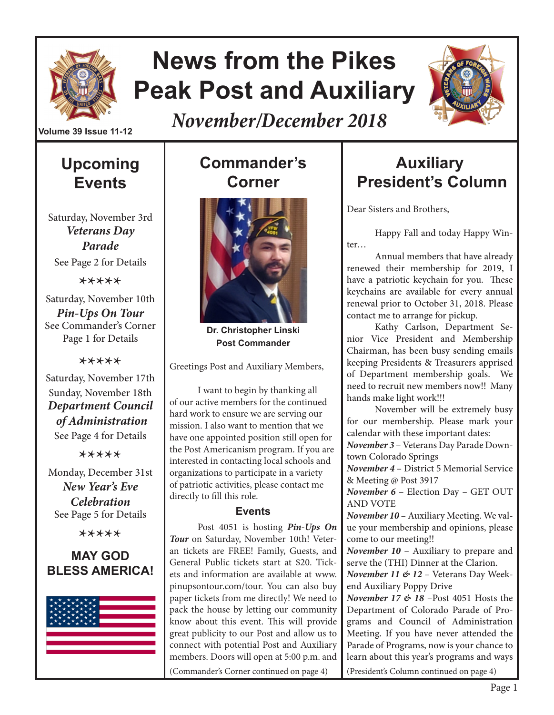

# **News from the Pikes Peak Post and Auxiliary**

*November/December 2018*



**Volume 39 Issue 11-12**

# **Upcoming Events**

Saturday, November 3rd *Veterans Day Parade* See Page 2 for Details

\*\*\*\*\*

Saturday, November 10th *Pin-Ups On Tour* See Commander's Corner Page 1 for Details

#### \*\*\*\*\*

Saturday, November 17th Sunday, November 18th *Department Council of Administration* See Page 4 for Details

\*\*\*\*\*

Monday, December 31st *New Year's Eve Celebration* See Page 5 for Details

\*\*\*\*\*

#### **MAY GOD BLESS AMERICA!**



# **Commander's Corner**



**Dr. Christopher Linski Post Commander**

Greetings Post and Auxiliary Members,

I want to begin by thanking all of our active members for the continued hard work to ensure we are serving our mission. I also want to mention that we have one appointed position still open for the Post Americanism program. If you are interested in contacting local schools and organizations to participate in a variety of patriotic activities, please contact me directly to fill this role.

#### **Events**

Post 4051 is hosting *Pin-Ups On Tour* on Saturday, November 10th! Veteran tickets are FREE! Family, Guests, and General Public tickets start at \$20. Tickets and information are available at www. pinupsontour.com/tour. You can also buy paper tickets from me directly! We need to pack the house by letting our community know about this event. This will provide great publicity to our Post and allow us to connect with potential Post and Auxiliary members. Doors will open at 5:00 p.m. and (Commander's Corner continued on page 4)

# **Auxiliary President's Column**

Dear Sisters and Brothers,

Happy Fall and today Happy Winter…

Annual members that have already renewed their membership for 2019, I have a patriotic keychain for you. These keychains are available for every annual renewal prior to October 31, 2018. Please contact me to arrange for pickup.

Kathy Carlson, Department Senior Vice President and Membership Chairman, has been busy sending emails keeping Presidents & Treasurers apprised of Department membership goals. We need to recruit new members now!! Many hands make light work!!!

November will be extremely busy for our membership. Please mark your calendar with these important dates:

*November 3* – Veterans Day Parade Downtown Colorado Springs

*November 4* – District 5 Memorial Service & Meeting @ Post 3917

*November 6* – Election Day – GET OUT AND VOTE

*November 10* – Auxiliary Meeting. We value your membership and opinions, please come to our meeting!!

*November 10* – Auxiliary to prepare and serve the (THI) Dinner at the Clarion.

*November 11 & 12* – Veterans Day Weekend Auxiliary Poppy Drive

*November 17 & 18* –Post 4051 Hosts the Department of Colorado Parade of Programs and Council of Administration Meeting. If you have never attended the Parade of Programs, now is your chance to learn about this year's programs and ways (President's Column continued on page 4)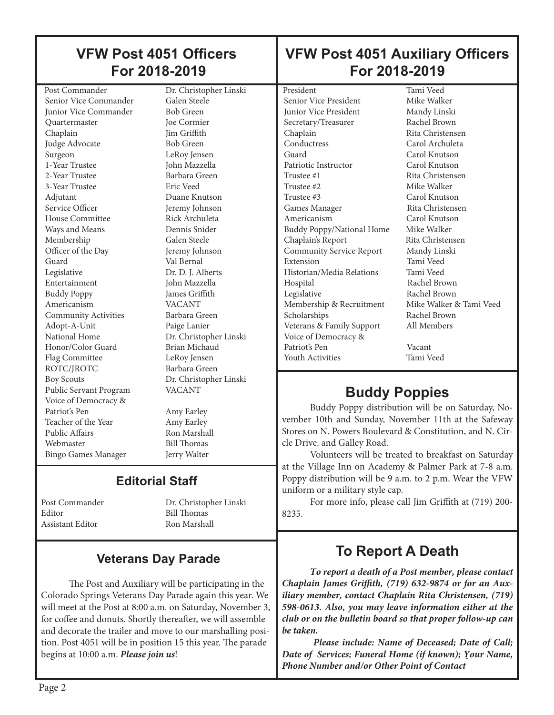#### **VFW Post 4051 Officers For 2018-2019**

**VFW Post 4051 Auxiliary Officers For 2018-2019**

Post Commander Dr. Christopher Linski Senior Vice Commander Galen Steele **Junior Vice Commander** Bob Green Quartermaster Joe Cormier Chaplain Jim Griffith Judge Advocate Bob Green Surgeon LeRoy Jensen 1-Year Trustee John Mazzella 2-Year Trustee Barbara Green 3-Year Trustee Eric Veed Adjutant Duane Knutson Service Officer **Jeremy Johnson**<br>House Committee **Algebra**<br>Rick Archuleta House Committee Ways and Means Dennis Snider Membership Galen Steele Officer of the Day Jeremy Johnson Guard Val Bernal Legislative Dr. D. J. Alberts Entertainment John Mazzella Buddy Poppy James Griffith<br>Americanism VACANT Americanism Community Activities Barbara Green Adopt-A-Unit Paige Lanier National Home Dr. Christopher Linski<br>Honor/Color Guard Brian Michaud Honor/Color Guard Flag Committee LeRoy Jensen ROTC/JROTC Barbara Green Boy Scouts Dr. Christopher Linski Public Servant Program VACANT Voice of Democracy & Teacher of the Year Amy Earley<br>Public Affairs Ron Marsha Webmaster Bill Thomas Bingo Games Manager Jerry Walter

Amy Earley

Ron Marshall

## **Editorial Staff**

Editor Bill Thomas Assistant Editor Ron Marshall

Post Commander Dr. Christopher Linski

#### **Veterans Day Parade**

The Post and Auxiliary will be participating in the Colorado Springs Veterans Day Parade again this year. We will meet at the Post at 8:00 a.m. on Saturday, November 3, for coffee and donuts. Shortly thereafter, we will assemble and decorate the trailer and move to our marshalling position. Post 4051 will be in position 15 this year. The parade begins at 10:00 a.m. *Please join us*!

Senior Vice President **Junior Vice President Mandy Linski** Secretary/Treasurer Rachel Brown Chaplain Rita Christensen Conductress Carol Archuleta Guard Carol Knutson Patriotic Instructor Carol Knutson Trustee #1 Rita Christensen Trustee #2 Mike Walker Trustee #3 Carol Knutson Games Manager Rita Christensen Americanism Carol Knutson Buddy Poppy/National Home Mike Walker Chaplain's Report Rita Christensen Community Service Report Mandy Linski Extension Historian/Media Relations Tami Veed Hospital Rachel Brown<br>
Legislative Rachel Brown Membership & Recruitment Scholarships Rachel Brown Veterans & Family Support All Members Voice of Democracy & Patriot's Pen Vacant Youth Activities Tami Veed

President Tami Veed<br>
Senior Vice President Mike Walker Rachel Brown<br>Mike Walker & Tami Veed

# **Buddy Poppies**

Buddy Poppy distribution will be on Saturday, November 10th and Sunday, November 11th at the Safeway Stores on N. Powers Boulevard & Constitution, and N. Circle Drive. and Galley Road.

Volunteers will be treated to breakfast on Saturday at the Village Inn on Academy & Palmer Park at 7-8 a.m. Poppy distribution will be 9 a.m. to 2 p.m. Wear the VFW uniform or a military style cap.

For more info, please call Jim Griffith at (719) 200- 8235.

## **To Report A Death**

*To report a death of a Post member, please contact Chaplain James Griffith, (719) 632-9874 or for an Auxiliary member, contact Chaplain Rita Christensen, (719) 598-0613. Also, you may leave information either at the club or on the bulletin board so that proper follow-up can be taken.* 

 *Please include: Name of Deceased; Date of Call; Date of Services; Funeral Home (if known); Your Name, . Phone Number and/or Other Point of Contact*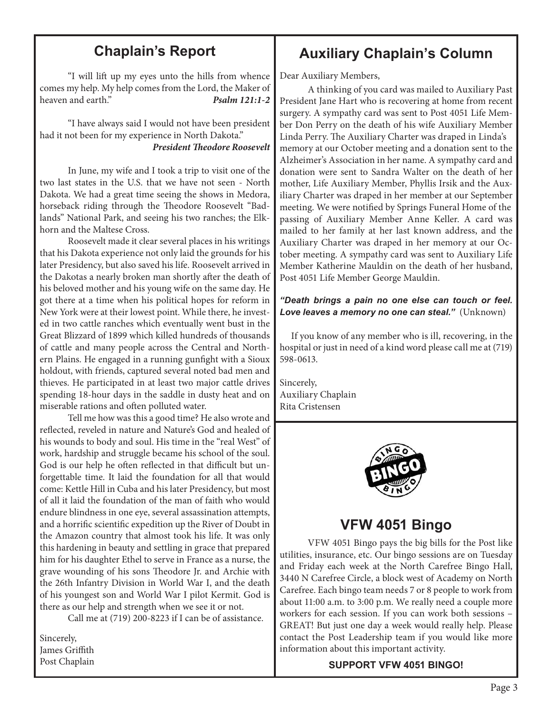#### **Chaplain's Report**

"I will lift up my eyes unto the hills from whence comes my help. My help comes from the Lord, the Maker of heaven and earth." *Psalm 121:1-2*

"I have always said I would not have been president had it not been for my experience in North Dakota." *President Theodore Roosevelt*

In June, my wife and I took a trip to visit one of the two last states in the U.S. that we have not seen - North Dakota. We had a great time seeing the shows in Medora, horseback riding through the Theodore Roosevelt "Badlands" National Park, and seeing his two ranches; the Elkhorn and the Maltese Cross.

Roosevelt made it clear several places in his writings that his Dakota experience not only laid the grounds for his later Presidency, but also saved his life. Roosevelt arrived in the Dakotas a nearly broken man shortly after the death of his beloved mother and his young wife on the same day. He got there at a time when his political hopes for reform in New York were at their lowest point. While there, he invested in two cattle ranches which eventually went bust in the Great Blizzard of 1899 which killed hundreds of thousands of cattle and many people across the Central and Northern Plains. He engaged in a running gunfight with a Sioux holdout, with friends, captured several noted bad men and thieves. He participated in at least two major cattle drives spending 18-hour days in the saddle in dusty heat and on miserable rations and often polluted water.

Tell me how was this a good time? He also wrote and reflected, reveled in nature and Nature's God and healed of his wounds to body and soul. His time in the "real West" of work, hardship and struggle became his school of the soul. God is our help he often reflected in that difficult but unforgettable time. It laid the foundation for all that would come: Kettle Hill in Cuba and his later Presidency, but most of all it laid the foundation of the man of faith who would endure blindness in one eye, several assassination attempts, and a horrific scientific expedition up the River of Doubt in the Amazon country that almost took his life. It was only this hardening in beauty and settling in grace that prepared him for his daughter Ethel to serve in France as a nurse, the grave wounding of his sons Theodore Jr. and Archie with the 26th Infantry Division in World War I, and the death of his youngest son and World War I pilot Kermit. God is there as our help and strength when we see it or not.

Call me at (719) 200-8223 if I can be of assistance.

Sincerely, James Griffith Post Chaplain

#### **Auxiliary Chaplain's Column**

Dear Auxiliary Members,

A thinking of you card was mailed to Auxiliary Past President Jane Hart who is recovering at home from recent surgery. A sympathy card was sent to Post 4051 Life Member Don Perry on the death of his wife Auxiliary Member Linda Perry. The Auxiliary Charter was draped in Linda's memory at our October meeting and a donation sent to the Alzheimer's Association in her name. A sympathy card and donation were sent to Sandra Walter on the death of her mother, Life Auxiliary Member, Phyllis Irsik and the Auxiliary Charter was draped in her member at our September meeting. We were notified by Springs Funeral Home of the passing of Auxiliary Member Anne Keller. A card was mailed to her family at her last known address, and the Auxiliary Charter was draped in her memory at our October meeting. A sympathy card was sent to Auxiliary Life Member Katherine Mauldin on the death of her husband, Post 4051 Life Member George Mauldin.

#### *"Death brings a pain no one else can touch or feel. Love leaves a memory no one can steal."* (Unknown)

 If you know of any member who is ill, recovering, in the hospital or just in need of a kind word please call me at (719) 598-0613.

Sincerely, Auxiliary Chaplain Rita Cristensen



#### **VFW 4051 Bingo**

VFW 4051 Bingo pays the big bills for the Post like utilities, insurance, etc. Our bingo sessions are on Tuesday and Friday each week at the North Carefree Bingo Hall, 3440 N Carefree Circle, a block west of Academy on North Carefree. Each bingo team needs 7 or 8 people to work from about 11:00 a.m. to 3:00 p.m. We really need a couple more workers for each session. If you can work both sessions – GREAT! But just one day a week would really help. Please contact the Post Leadership team if you would like more information about this important activity.

#### **SUPPORT VFW 4051 BINGO!**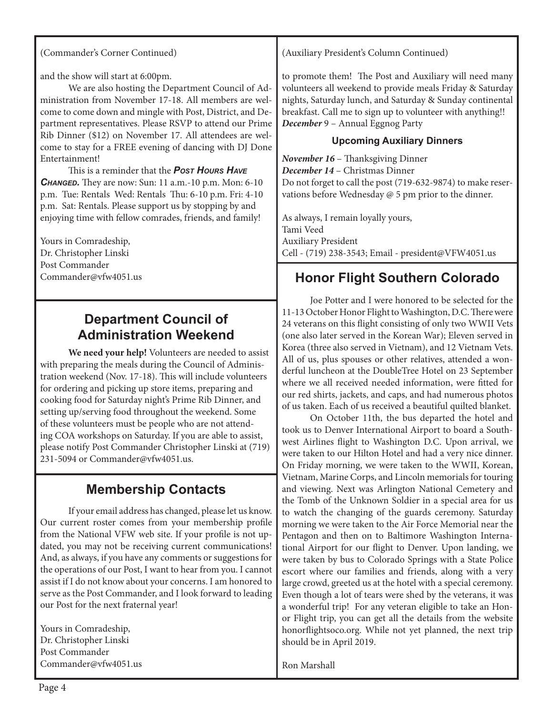and the show will start at 6:00pm.

We are also hosting the Department Council of Administration from November 17-18. All members are welcome to come down and mingle with Post, District, and Department representatives. Please RSVP to attend our Prime Rib Dinner (\$12) on November 17. All attendees are welcome to stay for a FREE evening of dancing with DJ Done Entertainment!

This is a reminder that the *Post Hours Have Changed.* They are now: Sun: 11 a.m.-10 p.m. Mon: 6-10 p.m. Tue: Rentals Wed: Rentals Thu: 6-10 p.m. Fri: 4-10 p.m. Sat: Rentals. Please support us by stopping by and enjoying time with fellow comrades, friends, and family!

Yours in Comradeship, Dr. Christopher Linski Post Commander Commander@vfw4051.us

#### **Department Council of Administration Weekend**

**We need your help!** Volunteers are needed to assist with preparing the meals during the Council of Administration weekend (Nov. 17-18). This will include volunteers for ordering and picking up store items, preparing and cooking food for Saturday night's Prime Rib Dinner, and setting up/serving food throughout the weekend. Some of these volunteers must be people who are not attending COA workshops on Saturday. If you are able to assist, please notify Post Commander Christopher Linski at (719) 231-5094 or Commander@vfw4051.us.

### **Membership Contacts**

If your email address has changed, please let us know. Our current roster comes from your membership profile from the National VFW web site. If your profile is not updated, you may not be receiving current communications! And, as always, if you have any comments or suggestions for the operations of our Post, I want to hear from you. I cannot assist if I do not know about your concerns. I am honored to serve as the Post Commander, and I look forward to leading our Post for the next fraternal year!

Yours in Comradeship, Dr. Christopher Linski Post Commander Commander@vfw4051.us (Auxiliary President's Column Continued)

to promote them! The Post and Auxiliary will need many volunteers all weekend to provide meals Friday & Saturday nights, Saturday lunch, and Saturday & Sunday continental breakfast. Call me to sign up to volunteer with anything!! *December* 9 – Annual Eggnog Party

#### **Upcoming Auxiliary Dinners**

*November 16* – Thanksgiving Dinner *December 14* – Christmas Dinner Do not forget to call the post (719-632-9874) to make reservations before Wednesday @ 5 pm prior to the dinner.

As always, I remain loyally yours, Tami Veed Auxiliary President Cell - (719) 238-3543; Email - president@VFW4051.us

#### **Honor Flight Southern Colorado**

Joe Potter and I were honored to be selected for the 11-13 October Honor Flight to Washington, D.C. There were 24 veterans on this flight consisting of only two WWII Vets (one also later served in the Korean War); Eleven served in Korea (three also served in Vietnam), and 12 Vietnam Vets. All of us, plus spouses or other relatives, attended a wonderful luncheon at the DoubleTree Hotel on 23 September where we all received needed information, were fitted for our red shirts, jackets, and caps, and had numerous photos of us taken. Each of us received a beautiful quilted blanket.

On October 11th, the bus departed the hotel and took us to Denver International Airport to board a Southwest Airlines flight to Washington D.C. Upon arrival, we were taken to our Hilton Hotel and had a very nice dinner. On Friday morning, we were taken to the WWII, Korean, Vietnam, Marine Corps, and Lincoln memorials for touring and viewing. Next was Arlington National Cemetery and the Tomb of the Unknown Soldier in a special area for us to watch the changing of the guards ceremony. Saturday morning we were taken to the Air Force Memorial near the Pentagon and then on to Baltimore Washington International Airport for our flight to Denver. Upon landing, we were taken by bus to Colorado Springs with a State Police escort where our families and friends, along with a very large crowd, greeted us at the hotel with a special ceremony. Even though a lot of tears were shed by the veterans, it was a wonderful trip! For any veteran eligible to take an Honor Flight trip, you can get all the details from the website honorflightsoco.org. While not yet planned, the next trip should be in April 2019.

Ron Marshall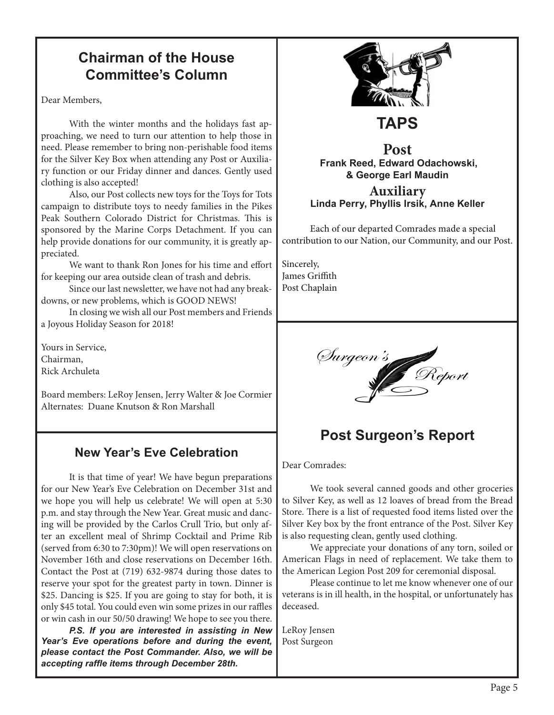### **Chairman of the House Committee's Column**

Dear Members,

With the winter months and the holidays fast approaching, we need to turn our attention to help those in need. Please remember to bring non-perishable food items for the Silver Key Box when attending any Post or Auxiliary function or our Friday dinner and dances. Gently used clothing is also accepted!

Also, our Post collects new toys for the Toys for Tots campaign to distribute toys to needy families in the Pikes Peak Southern Colorado District for Christmas. This is sponsored by the Marine Corps Detachment. If you can help provide donations for our community, it is greatly appreciated.

We want to thank Ron Jones for his time and effort for keeping our area outside clean of trash and debris.

Since our last newsletter, we have not had any breakdowns, or new problems, which is GOOD NEWS!

In closing we wish all our Post members and Friends a Joyous Holiday Season for 2018!

Yours in Service, Chairman, Rick Archuleta

Board members: LeRoy Jensen, Jerry Walter & Joe Cormier Alternates: Duane Knutson & Ron Marshall

#### **New Year's Eve Celebration**

It is that time of year! We have begun preparations for our New Year's Eve Celebration on December 31st and we hope you will help us celebrate! We will open at 5:30 p.m. and stay through the New Year. Great music and dancing will be provided by the Carlos Crull Trio, but only after an excellent meal of Shrimp Cocktail and Prime Rib (served from 6:30 to 7:30pm)! We will open reservations on November 16th and close reservations on December 16th. Contact the Post at (719) 632-9874 during those dates to reserve your spot for the greatest party in town. Dinner is \$25. Dancing is \$25. If you are going to stay for both, it is only \$45 total. You could even win some prizes in our raffles or win cash in our 50/50 drawing! We hope to see you there.

*P.S. If you are interested in assisting in New Year's Eve operations before and during the event, please contact the Post Commander. Also, we will be accepting raffle items through December 28th.*



# **TAPS**

#### **Post Frank Reed, Edward Odachowski, & George Earl Maudin**

#### **Auxiliary Linda Perry, Phyllis Irsik, Anne Keller**

Each of our departed Comrades made a special contribution to our Nation, our Community, and our Post.

Sincerely, James Griffith Post Chaplain



# **Post Surgeon's Report**

Dear Comrades:

We took several canned goods and other groceries to Silver Key, as well as 12 loaves of bread from the Bread Store. There is a list of requested food items listed over the Silver Key box by the front entrance of the Post. Silver Key is also requesting clean, gently used clothing.

We appreciate your donations of any torn, soiled or American Flags in need of replacement. We take them to the American Legion Post 209 for ceremonial disposal.

Please continue to let me know whenever one of our veterans is in ill health, in the hospital, or unfortunately has deceased.

LeRoy Jensen Post Surgeon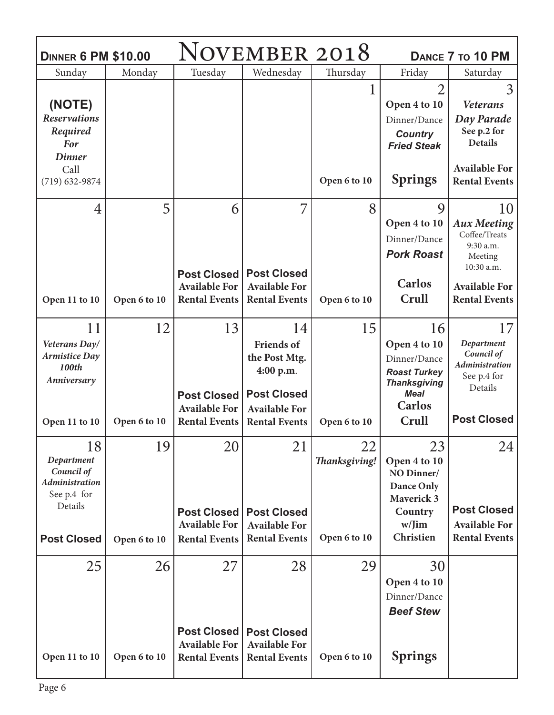| <b>DINNER 6 PM \$10.00</b>                                                 |              |                                                                    | NOVEMBER 2018                                                                                       |                     | DANCE 7 TO 10 PM                                                                                                 |                                                                                 |
|----------------------------------------------------------------------------|--------------|--------------------------------------------------------------------|-----------------------------------------------------------------------------------------------------|---------------------|------------------------------------------------------------------------------------------------------------------|---------------------------------------------------------------------------------|
| Sunday                                                                     | Monday       | Tuesday                                                            | Wednesday                                                                                           | Thursday            | Friday                                                                                                           | Saturday                                                                        |
| (NOTE)                                                                     |              |                                                                    |                                                                                                     |                     | $\overline{2}$<br>Open 4 to 10                                                                                   | 3<br><b>Veterans</b>                                                            |
| <b>Reservations</b><br>Required<br><b>For</b><br><b>Dinner</b>             |              |                                                                    |                                                                                                     |                     | Dinner/Dance<br><b>Country</b><br><b>Fried Steak</b>                                                             | Day Parade<br>See p.2 for<br><b>Details</b>                                     |
| Call<br>$(719) 632 - 9874$                                                 |              |                                                                    |                                                                                                     | Open 6 to 10        | <b>Springs</b>                                                                                                   | <b>Available For</b><br><b>Rental Events</b>                                    |
| $\overline{4}$                                                             | 5            | 6                                                                  | 7                                                                                                   | 8                   | 9<br>Open 4 to 10<br>Dinner/Dance<br><b>Pork Roast</b>                                                           | 10<br><b>Aux Meeting</b><br>Coffee/Treats<br>9:30 a.m.<br>Meeting<br>10:30 a.m. |
| Open 11 to 10                                                              | Open 6 to 10 | <b>Post Closed</b><br><b>Available For</b><br><b>Rental Events</b> | <b>Post Closed</b><br><b>Available For</b><br><b>Rental Events</b>                                  | Open 6 to 10        | <b>Carlos</b><br>Crull                                                                                           | <b>Available For</b><br><b>Rental Events</b>                                    |
| 11<br>Veterans Day/<br><b>Armistice Day</b><br>100th<br>Anniversary        | 12           | 13<br><b>Post Closed</b><br><b>Available For</b>                   | 14<br><b>Friends of</b><br>the Post Mtg.<br>4:00 p.m.<br><b>Post Closed</b><br><b>Available For</b> | 15                  | 16<br>Open 4 to 10<br>Dinner/Dance<br><b>Roast Turkey</b><br><b>Thanksgiving</b><br><b>Meal</b><br><b>Carlos</b> | 17<br>Department<br>Council of<br>Administration<br>See p.4 for<br>Details      |
| Open 11 to 10                                                              | Open 6 to 10 | <b>Rental Events</b>                                               | <b>Rental Events</b>                                                                                | Open 6 to 10        | Crull                                                                                                            | <b>Post Closed</b>                                                              |
| 18<br>Department<br>Council of<br>Administration<br>See p.4 for<br>Details | 19           | 20<br><b>Post Closed</b><br><b>Available For</b>                   | 21<br><b>Post Closed</b><br><b>Available For</b>                                                    | 22<br>Thanksgiving! | 23<br>Open 4 to 10<br>NO Dinner/<br>Dance Only<br><b>Maverick 3</b><br>Country<br>w/Jim                          | 24<br><b>Post Closed</b><br><b>Available For</b>                                |
| <b>Post Closed</b>                                                         | Open 6 to 10 | <b>Rental Events</b>                                               | <b>Rental Events</b>                                                                                | Open 6 to 10        | Christien                                                                                                        | <b>Rental Events</b>                                                            |
| 25                                                                         | 26           | 27<br><b>Post Closed</b><br><b>Available For</b>                   | 28<br><b>Post Closed</b><br><b>Available For</b>                                                    | 29                  | 30<br>Open 4 to 10<br>Dinner/Dance<br><b>Beef Stew</b>                                                           |                                                                                 |
| Open 11 to 10                                                              | Open 6 to 10 | <b>Rental Events</b>                                               | <b>Rental Events</b>                                                                                | Open 6 to 10        | <b>Springs</b>                                                                                                   |                                                                                 |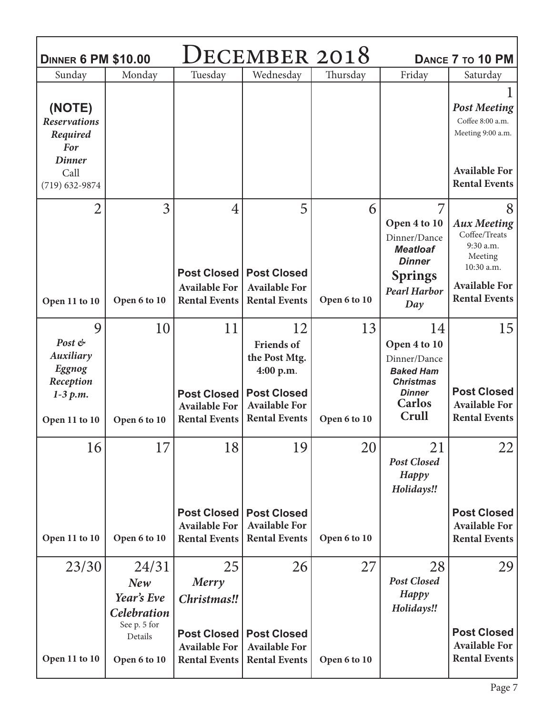| <b>DINNER 6 PM \$10.00</b>                                                     |                                                                             |                                                                                      | DECEMBER 2018                                                                                                               |                    |                                                                                                                       | DANCE 7 TO 10 PM                                                                                                               |
|--------------------------------------------------------------------------------|-----------------------------------------------------------------------------|--------------------------------------------------------------------------------------|-----------------------------------------------------------------------------------------------------------------------------|--------------------|-----------------------------------------------------------------------------------------------------------------------|--------------------------------------------------------------------------------------------------------------------------------|
| Sunday                                                                         | Monday                                                                      | Tuesday                                                                              | Wednesday                                                                                                                   | Thursday           | Friday                                                                                                                | Saturday                                                                                                                       |
| (NOTE)<br><b>Reservations</b><br>Required<br>For<br><b>Dinner</b>              |                                                                             |                                                                                      |                                                                                                                             |                    |                                                                                                                       | <b>Post Meeting</b><br>Coffee 8:00 a.m.<br>Meeting 9:00 a.m.                                                                   |
| Call<br>$(719) 632 - 9874$                                                     |                                                                             |                                                                                      |                                                                                                                             |                    |                                                                                                                       | <b>Available For</b><br><b>Rental Events</b>                                                                                   |
| $\overline{2}$<br>Open 11 to 10                                                | 3<br>Open 6 to 10                                                           | $\overline{4}$<br><b>Post Closed</b><br><b>Available For</b><br><b>Rental Events</b> | 5<br><b>Post Closed</b><br><b>Available For</b><br><b>Rental Events</b>                                                     | 6<br>Open 6 to 10  | 7<br>Open 4 to 10<br>Dinner/Dance<br><b>Meatloaf</b><br><b>Dinner</b><br><b>Springs</b><br><b>Pearl Harbor</b>        | 8<br><b>Aux Meeting</b><br>Coffee/Treats<br>9:30 a.m.<br>Meeting<br>10:30 a.m.<br><b>Available For</b><br><b>Rental Events</b> |
|                                                                                |                                                                             |                                                                                      |                                                                                                                             |                    | Day                                                                                                                   |                                                                                                                                |
| 9<br>Post &<br>Auxiliary<br>Eggnog<br>Reception<br>$1-3 p.m.$<br>Open 11 to 10 | 10<br>Open 6 to 10                                                          | 11<br><b>Post Closed</b><br><b>Available For</b><br><b>Rental Events</b>             | 12<br><b>Friends</b> of<br>the Post Mtg.<br>4:00 p.m.<br><b>Post Closed</b><br><b>Available For</b><br><b>Rental Events</b> | 13<br>Open 6 to 10 | 14<br>Open 4 to 10<br>Dinner/Dance<br><b>Baked Ham</b><br><b>Christmas</b><br><b>Dinner</b><br><b>Carlos</b><br>Crull | 15<br><b>Post Closed</b><br><b>Available For</b><br><b>Rental Events</b>                                                       |
| 16<br>Open 11 to 10                                                            | 17<br>Open 6 to 10                                                          | 18<br><b>Post Closed</b><br><b>Available For</b><br><b>Rental Events</b>             | 19<br><b>Post Closed</b><br><b>Available For</b><br><b>Rental Events</b>                                                    | 20<br>Open 6 to 10 | 21<br><b>Post Closed</b><br>Happy<br>Holidays!!                                                                       | 22<br><b>Post Closed</b><br><b>Available For</b><br><b>Rental Events</b>                                                       |
| 23/30                                                                          | 24/31<br>New<br>Year's Eve<br><b>Celebration</b><br>See p. 5 for<br>Details | 25<br>Merry<br>Christmas!!<br><b>Post Closed</b><br><b>Available For</b>             | 26<br><b>Post Closed</b><br><b>Available For</b>                                                                            | 27                 | 28<br><b>Post Closed</b><br>Happy<br>Holidays!!                                                                       | 29<br><b>Post Closed</b><br><b>Available For</b>                                                                               |
| Open 11 to 10                                                                  | Open 6 to 10                                                                | <b>Rental Events</b>                                                                 | <b>Rental Events</b>                                                                                                        | Open 6 to 10       |                                                                                                                       | <b>Rental Events</b>                                                                                                           |